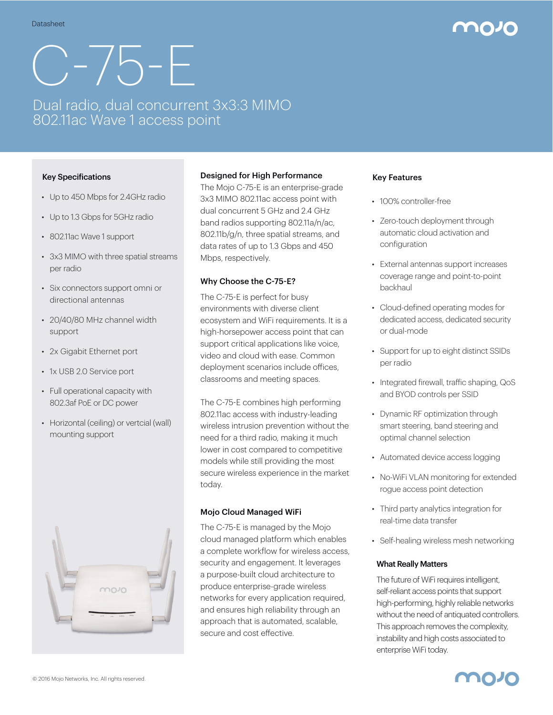# C-75-E

# Dual radio, dual concurrent 3x3:3 MIMO 802.11ac Wave 1 access point

#### Key Specifications

- Up to 450 Mbps for 2.4GHz radio
- Up to 1.3 Gbps for 5GHz radio
- 802.11ac Wave 1 support
- 3x3 MIMO with three spatial streams per radio
- Six connectors support omni or directional antennas
- 20/40/80 MHz channel width support
- 2x Gigabit Ethernet port
- 1x USB 2.0 Service port
- Full operational capacity with 802.3af PoE or DC power
- Horizontal (ceiling) or vertcial (wall) mounting support



#### Designed for High Performance

The Mojo C-75-E is an enterprise-grade 3x3 MIMO 802.11ac access point with dual concurrent 5 GHz and 2.4 GHz band radios supporting 802.11a/n/ac, 802.11b/g/n, three spatial streams, and data rates of up to 1.3 Gbps and 450 Mbps, respectively.

#### Why Choose the C-75-E?

The C-75-E is perfect for busy environments with diverse client ecosystem and WiFi requirements. It is a high-horsepower access point that can support critical applications like voice, video and cloud with ease. Common deployment scenarios include offices. classrooms and meeting spaces.

The C-75-E combines high performing 802.11ac access with industry-leading wireless intrusion prevention without the need for a third radio, making it much lower in cost compared to competitive models while still providing the most secure wireless experience in the market today.

#### Mojo Cloud Managed WiFi

The C-75-E is managed by the Mojo cloud managed platform which enables a complete workflow for wireless access, security and engagement. It leverages a purpose-built cloud architecture to produce enterprise-grade wireless networks for every application required, and ensures high reliability through an approach that is automated, scalable, secure and cost effective.

#### Key Features

- 100% controller-free
- Zero-touch deployment through automatic cloud activation and configuration
- External antennas support increases coverage range and point-to-point backhaul
- Cloud-defined operating modes for dedicated access, dedicated security or dual-mode
- Support for up to eight distinct SSIDs per radio
- Integrated firewall, traffic shaping, QoS and BYOD controls per SSID
- Dynamic RF optimization through smart steering, band steering and optimal channel selection
- Automated device access logging
- No-WiFi VLAN monitoring for extended rogue access point detection
- Third party analytics integration for real-time data transfer
- Self-healing wireless mesh networking

#### What Really Matters

The future of WiFi requires intelligent, self-reliant access points that support high-performing, highly reliable networks without the need of antiquated controllers. This approach removes the complexity, instability and high costs associated to enterprise WiFi today.

mozo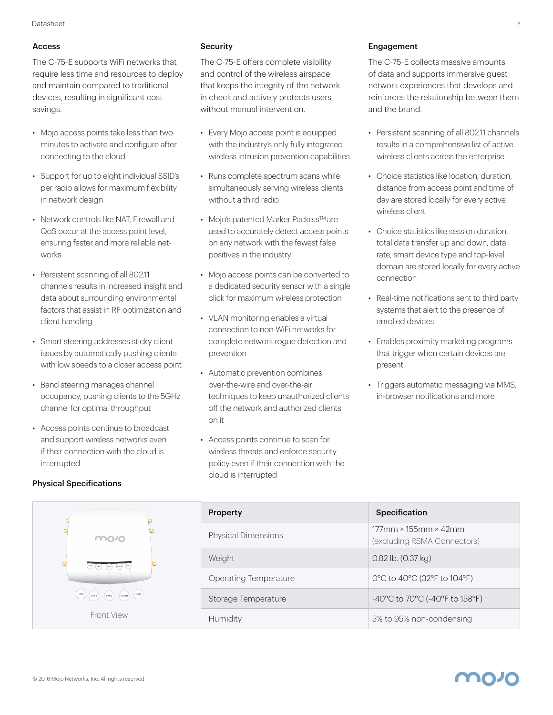#### Access

The C-75-E supports WiFi networks that require less time and resources to deploy and maintain compared to traditional devices, resulting in significant cost savings.

- Mojo access points take less than two minutes to activate and configure after connecting to the cloud
- Support for up to eight individual SSID's per radio allows for maximum flexibility in network design
- Network controls like NAT, Firewall and QoS occur at the access point level, ensuring faster and more reliable networks
- Persistent scanning of all 802.11 channels results in increased insight and data about surrounding environmental factors that assist in RF optimization and client handling
- Smart steering addresses sticky client issues by automatically pushing clients with low speeds to a closer access point
- Band steering manages channel occupancy, pushing clients to the 5GHz channel for optimal throughput
- Access points continue to broadcast and support wireless networks even if their connection with the cloud is interrupted

#### **Security**

The C-75-E offers complete visibility and control of the wireless airspace that keeps the integrity of the network in check and actively protects users without manual intervention.

- Every Mojo access point is equipped with the industry's only fully integrated wireless intrusion prevention capabilities
- Runs complete spectrum scans while simultaneously serving wireless clients without a third radio
- Mojo's patented Marker Packets<sup>™</sup> are used to accurately detect access points on any network with the fewest false positives in the industry
- Mojo access points can be converted to a dedicated security sensor with a single click for maximum wireless protection
- VLAN monitoring enables a virtual connection to non-WiFi networks for complete network rogue detection and prevention
- Automatic prevention combines over-the-wire and over-the-air techniques to keep unauthorized clients off the network and authorized clients on it
- Access points continue to scan for wireless threats and enforce security policy even if their connection with the cloud is interrupted

#### Engagement

The C-75-E collects massive amounts of data and supports immersive guest network experiences that develops and reinforces the relationship between them and the brand.

- Persistent scanning of all 802.11 channels results in a comprehensive list of active wireless clients across the enterprise
- Choice statistics like location, duration, distance from access point and time of day are stored locally for every active wireless client
- Choice statistics like session duration total data transfer up and down, data rate, smart device type and top-level domain are stored locally for every active connection
- Real-time notifications sent to third party systems that alert to the presence of enrolled devices
- Enables proximity marketing programs that trigger when certain devices are present
- Triggers automatic messaging via MMS, in-browser notifications and more

|                                             | <b>Property</b>              | Specification                                          |
|---------------------------------------------|------------------------------|--------------------------------------------------------|
| movo                                        | Physical Dimensions          | $177$ mm × 155mm × 42mm<br>(excluding RSMA Connectors) |
|                                             | Weight                       | $0.82$ lb. $(0.37$ kg)                                 |
|                                             | <b>Operating Temperature</b> | 0°C to 40°C (32°F to 104°F)                            |
| $5$ GHz<br>PWR<br>LANT<br>$2.4$ GHz<br>LAN2 | Storage Temperature          | -40°C to 70°C (-40°F to 158°F)                         |
| <b>Front View</b>                           | Humidity                     | 5% to 95% non-condensing                               |

### Physical Specifications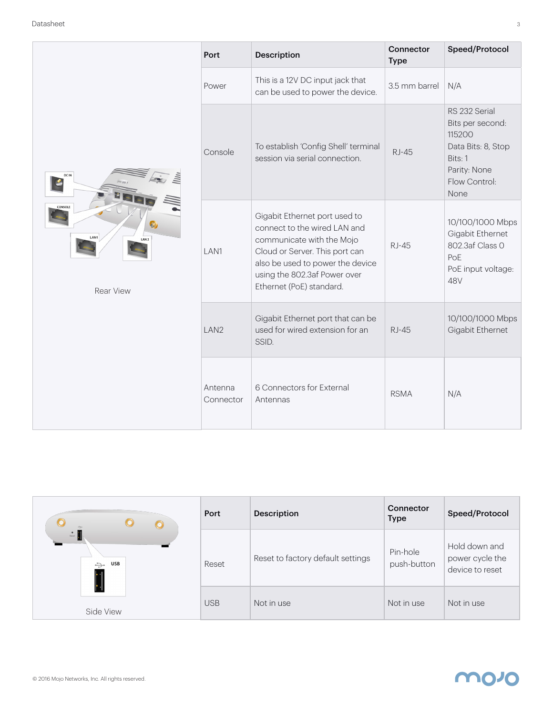|                                                                        | Port                 | <b>Description</b>                                                                                                                                                                                                           | Connector<br><b>Type</b> | Speed/Protocol                                                                                                        |
|------------------------------------------------------------------------|----------------------|------------------------------------------------------------------------------------------------------------------------------------------------------------------------------------------------------------------------------|--------------------------|-----------------------------------------------------------------------------------------------------------------------|
| <b>DCIN</b><br>CONSOLE<br>LAN1<br>LAN <sub>2</sub><br><b>Rear View</b> | Power                | This is a 12V DC input jack that<br>can be used to power the device.                                                                                                                                                         | 3.5 mm barrel            | N/A                                                                                                                   |
|                                                                        | Console              | To establish 'Config Shell' terminal<br>session via serial connection.                                                                                                                                                       | <b>RJ-45</b>             | RS 232 Serial<br>Bits per second:<br>115200<br>Data Bits: 8, Stop<br>Bits: 1<br>Parity: None<br>Flow Control:<br>None |
|                                                                        | LAN1                 | Gigabit Ethernet port used to<br>connect to the wired LAN and<br>communicate with the Mojo<br>Cloud or Server. This port can<br>also be used to power the device<br>using the 802.3af Power over<br>Ethernet (PoE) standard. | <b>RJ-45</b>             | 10/100/1000 Mbps<br>Gigabit Ethernet<br>802.3af Class 0<br>PoE<br>PoE input voltage:<br>48V                           |
|                                                                        | LAN2                 | Gigabit Ethernet port that can be<br>used for wired extension for an<br>SSID.                                                                                                                                                | <b>RJ-45</b>             | 10/100/1000 Mbps<br>Gigabit Ethernet                                                                                  |
|                                                                        | Antenna<br>Connector | 6 Connectors for External<br>Antennas                                                                                                                                                                                        | <b>RSMA</b>              | N/A                                                                                                                   |

| $\odot$<br>$\odot$                | Port       | <b>Description</b>                | Connector<br><b>Type</b> | Speed/Protocol                                      |
|-----------------------------------|------------|-----------------------------------|--------------------------|-----------------------------------------------------|
| $\bullet$<br>USB<br>$\Rightarrow$ | Reset      | Reset to factory default settings | Pin-hole<br>push-button  | Hold down and<br>power cycle the<br>device to reset |
| Side View                         | <b>USB</b> | Not in use                        | Not in use               | Not in use                                          |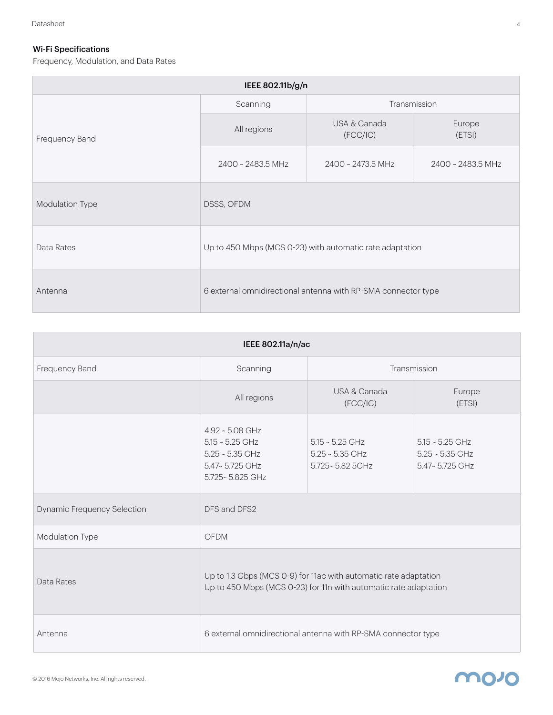## Wi-Fi Specifications

Frequency, Modulation, and Data Rates

| IEEE 802.11b/g/n |                          |                                                               |                   |
|------------------|--------------------------|---------------------------------------------------------------|-------------------|
| Frequency Band   | Transmission<br>Scanning |                                                               |                   |
|                  | All regions              | USA & Canada<br>(FCC/IC)                                      | Europe<br>(ETSI)  |
|                  | 2400 ~ 2483.5 MHz        | 2400 ~ 2473.5 MHz                                             | 2400 ~ 2483.5 MHz |
| Modulation Type  | DSSS, OFDM               |                                                               |                   |
| Data Rates       |                          | Up to 450 Mbps (MCS 0-23) with automatic rate adaptation      |                   |
| Antenna          |                          | 6 external omnidirectional antenna with RP-SMA connector type |                   |

| IEEE 802.11a/n/ac                  |                                                                                                  |                                                                                                                                      |                                                          |
|------------------------------------|--------------------------------------------------------------------------------------------------|--------------------------------------------------------------------------------------------------------------------------------------|----------------------------------------------------------|
| Frequency Band                     | Scanning                                                                                         |                                                                                                                                      | Transmission                                             |
|                                    | All regions                                                                                      | USA & Canada<br>(FCC/IC)                                                                                                             | Europe<br>(ETSI)                                         |
|                                    | $4.92 - 5.08$ GHz<br>$5.15 - 5.25$ GHz<br>$5.25 - 5.35$ GHz<br>5.47~5.725 GHz<br>5.725~5.825 GHz | $5.15 - 5.25$ GHz<br>$5.25 - 5.35$ GHz<br>5.725~5.82 5GHz                                                                            | $5.15 - 5.25$ GHz<br>$5.25 - 5.35$ GHz<br>5.47~5.725 GHz |
| <b>Dynamic Frequency Selection</b> | DFS and DFS2                                                                                     |                                                                                                                                      |                                                          |
| Modulation Type                    | <b>OFDM</b>                                                                                      |                                                                                                                                      |                                                          |
| Data Rates                         |                                                                                                  | Up to 1.3 Gbps (MCS 0-9) for 11ac with automatic rate adaptation<br>Up to 450 Mbps (MCS 0-23) for 11n with automatic rate adaptation |                                                          |
| Antenna                            |                                                                                                  | 6 external omnidirectional antenna with RP-SMA connector type                                                                        |                                                          |

# **MO10**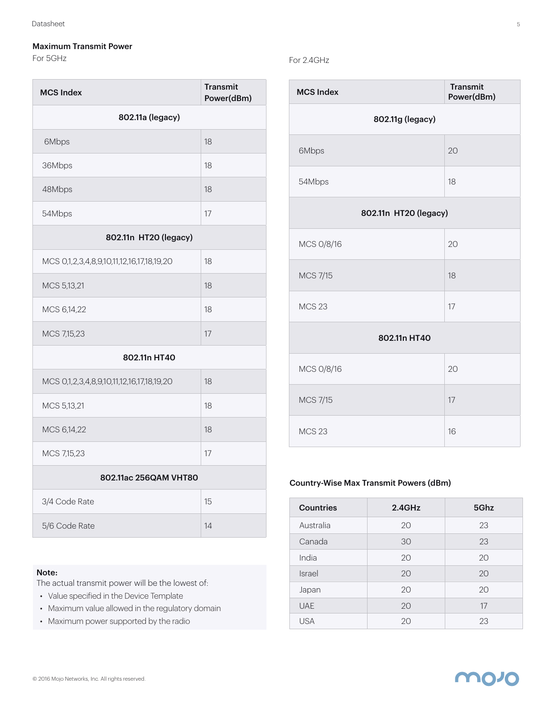#### Maximum Transmit Power

For 5GHz

| <b>MCS Index</b>                          | <b>Transmit</b><br>Power(dBm) |  |
|-------------------------------------------|-------------------------------|--|
| 802.11a (legacy)                          |                               |  |
| 6Mbps                                     | 18                            |  |
| 36Mbps                                    | 18                            |  |
| 48Mbps                                    | 18                            |  |
| 54Mbps                                    | 17                            |  |
| 802.11n HT20 (legacy)                     |                               |  |
| MCS 0,1,2,3,4,8,9,10,11,12,16,17,18,19,20 | 18                            |  |
| MCS 5,13,21                               | 18                            |  |
| MCS 6,14,22                               | 18                            |  |
| MCS 7,15,23                               | 17                            |  |
| 802.11n HT40                              |                               |  |
| MCS 0,1,2,3,4,8,9,10,11,12,16,17,18,19,20 | 18                            |  |
| MCS 5,13,21                               | 18                            |  |
| MCS 6,14,22                               | 18                            |  |
| MCS 7,15,23                               | 17                            |  |
| 802.11ac 256QAM VHT80                     |                               |  |
| 3/4 Code Rate                             | 15                            |  |
| 5/6 Code Rate                             | 14                            |  |

#### Note:

The actual transmit power will be the lowest of:

- Value specified in the Device Template
- Maximum value allowed in the regulatory domain
- Maximum power supported by the radio

#### For 2.4GHz

| <b>MCS Index</b>      | <b>Transmit</b><br>Power(dBm) |
|-----------------------|-------------------------------|
| 802.11g (legacy)      |                               |
| 6Mbps                 | 20                            |
| 54Mbps                | 18                            |
| 802.11n HT20 (legacy) |                               |
| MCS 0/8/16            | 20                            |
| <b>MCS 7/15</b>       | 18                            |
| <b>MCS 23</b>         | 17                            |
| 802.11n HT40          |                               |
| MCS 0/8/16            | 20                            |
| <b>MCS 7/15</b>       | 17                            |
| <b>MCS 23</b>         | 16                            |

### Country-Wise Max Transmit Powers (dBm)

| <b>Countries</b> | $2.4$ GHz | 5Ghz |
|------------------|-----------|------|
| Australia        | 20        | 23   |
| Canada           | 30        | 23   |
| India            | 20        | 20   |
| Israel           | 20        | 20   |
| Japan            | 20        | 20   |
| <b>UAE</b>       | 20        | 17   |
| <b>USA</b>       | 20        | 23   |

## **MO10**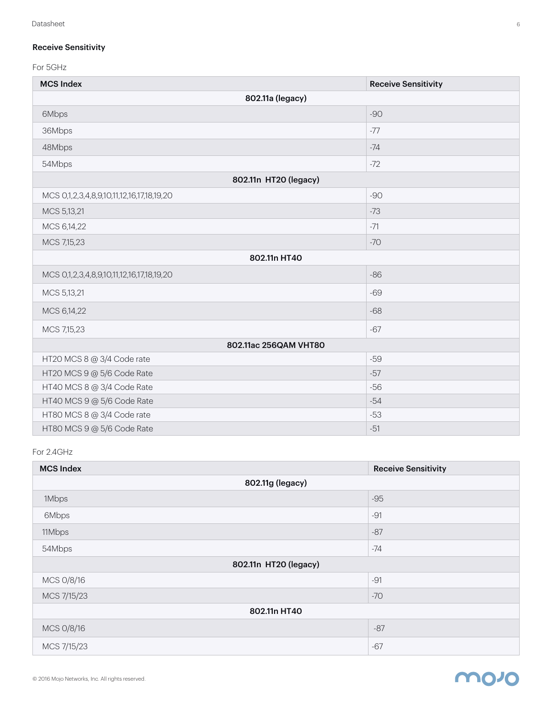#### Receive Sensitivity

For 5GHz

| <b>MCS Index</b>                          | <b>Receive Sensitivity</b> |  |
|-------------------------------------------|----------------------------|--|
| 802.11a (legacy)                          |                            |  |
| 6Mbps                                     | $-90$                      |  |
| 36Mbps                                    | $-77$                      |  |
| 48Mbps                                    | $-74$                      |  |
| 54Mbps                                    | $-72$                      |  |
| 802.11n HT20 (legacy)                     |                            |  |
| MCS 0,1,2,3,4,8,9,10,11,12,16,17,18,19,20 | $-90$                      |  |
| MCS 5,13,21                               | $-73$                      |  |
| MCS 6,14,22                               | $-71$                      |  |
| MCS 7,15,23                               | $-70$                      |  |
| 802.11n HT40                              |                            |  |
| MCS 0,1,2,3,4,8,9,10,11,12,16,17,18,19,20 | $-86$                      |  |
| MCS 5,13,21                               | $-69$                      |  |
| MCS 6,14,22                               | $-68$                      |  |
| MCS 7,15,23                               | $-67$                      |  |
| 802.11ac 256QAM VHT80                     |                            |  |
| HT20 MCS 8 @ 3/4 Code rate                | $-59$                      |  |
| HT20 MCS 9 @ 5/6 Code Rate                | $-57$                      |  |
| HT40 MCS 8 @ 3/4 Code Rate                | $-56$                      |  |
| HT40 MCS 9 @ 5/6 Code Rate                | $-54$                      |  |
| HT80 MCS 8 @ 3/4 Code rate                | $-53$                      |  |
| HT80 MCS 9 @ 5/6 Code Rate                | $-51$                      |  |

#### For 2.4GHz

| <b>MCS Index</b>      | <b>Receive Sensitivity</b> |  |
|-----------------------|----------------------------|--|
| 802.11g (legacy)      |                            |  |
| 1Mbps                 | $-95$                      |  |
| 6Mbps                 | $-91$                      |  |
| 11Mbps                | $-87$                      |  |
| 54Mbps                | $-74$                      |  |
| 802.11n HT20 (legacy) |                            |  |
| MCS 0/8/16            | $-91$                      |  |
| MCS 7/15/23           | $-70$                      |  |
| 802.11n HT40          |                            |  |
| MCS 0/8/16            | $-87$                      |  |
| MCS 7/15/23           | $-67$                      |  |

# **movo**